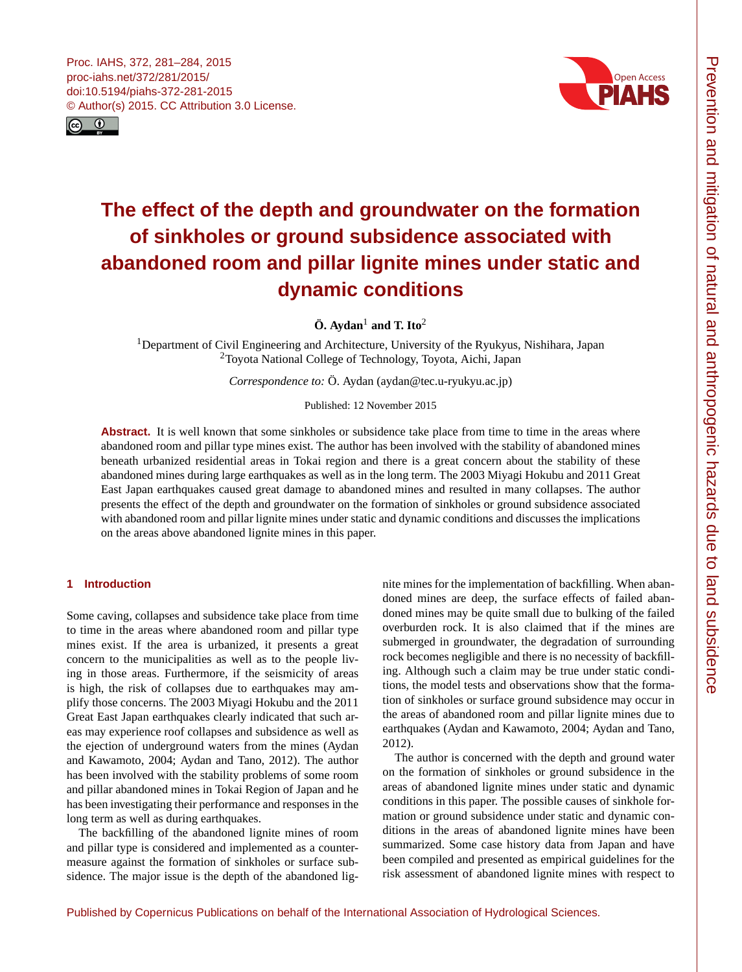<span id="page-0-1"></span>



# **The effect of the depth and groundwater on the formation of sinkholes or ground subsidence associated with abandoned room and pillar lignite mines under static and dynamic conditions**

 $\ddot{\textbf{O}}$ . Aydan<sup>[1](#page-0-0)</sup> and T. Ito<sup>[2](#page-0-0)</sup>

<sup>1</sup>Department of Civil Engineering and Architecture, University of the Ryukyus, Nishihara, Japan <sup>2</sup>Toyota National College of Technology, Toyota, Aichi, Japan

*Correspondence to:* Ö. Aydan (aydan@tec.u-ryukyu.ac.jp)

Published: 12 November 2015

Abstract. It is well known that some sinkholes or subsidence take place from time to time in the areas where abandoned room and pillar type mines exist. The author has been involved with the stability of abandoned mines beneath urbanized residential areas in Tokai region and there is a great concern about the stability of these abandoned mines during large earthquakes as well as in the long term. The 2003 Miyagi Hokubu and 2011 Great East Japan earthquakes caused great damage to abandoned mines and resulted in many collapses. The author presents the effect of the depth and groundwater on the formation of sinkholes or ground subsidence associated with abandoned room and pillar lignite mines under static and dynamic conditions and discusses the implications on the areas above abandoned lignite mines in this paper.

## <span id="page-0-0"></span>**1 Introduction**

Some caving, collapses and subsidence take place from time to time in the areas where abandoned room and pillar type mines exist. If the area is urbanized, it presents a great concern to the municipalities as well as to the people living in those areas. Furthermore, if the seismicity of areas is high, the risk of collapses due to earthquakes may amplify those concerns. The 2003 Miyagi Hokubu and the 2011 Great East Japan earthquakes clearly indicated that such areas may experience roof collapses and subsidence as well as the ejection of underground waters from the mines (Aydan and Kawamoto, 2004; Aydan and Tano, 2012). The author has been involved with the stability problems of some room and pillar abandoned mines in Tokai Region of Japan and he has been investigating their performance and responses in the long term as well as during earthquakes.

The backfilling of the abandoned lignite mines of room and pillar type is considered and implemented as a countermeasure against the formation of sinkholes or surface subsidence. The major issue is the depth of the abandoned lignite mines for the implementation of backfilling. When abandoned mines are deep, the surface effects of failed abandoned mines may be quite small due to bulking of the failed overburden rock. It is also claimed that if the mines are submerged in groundwater, the degradation of surrounding rock becomes negligible and there is no necessity of backfilling. Although such a claim may be true under static conditions, the model tests and observations show that the formation of sinkholes or surface ground subsidence may occur in the areas of abandoned room and pillar lignite mines due to earthquakes (Aydan and Kawamoto, 2004; Aydan and Tano, 2012).

The author is concerned with the depth and ground water on the formation of sinkholes or ground subsidence in the areas of abandoned lignite mines under static and dynamic conditions in this paper. The possible causes of sinkhole formation or ground subsidence under static and dynamic conditions in the areas of abandoned lignite mines have been summarized. Some case history data from Japan and have been compiled and presented as empirical guidelines for the risk assessment of abandoned lignite mines with respect to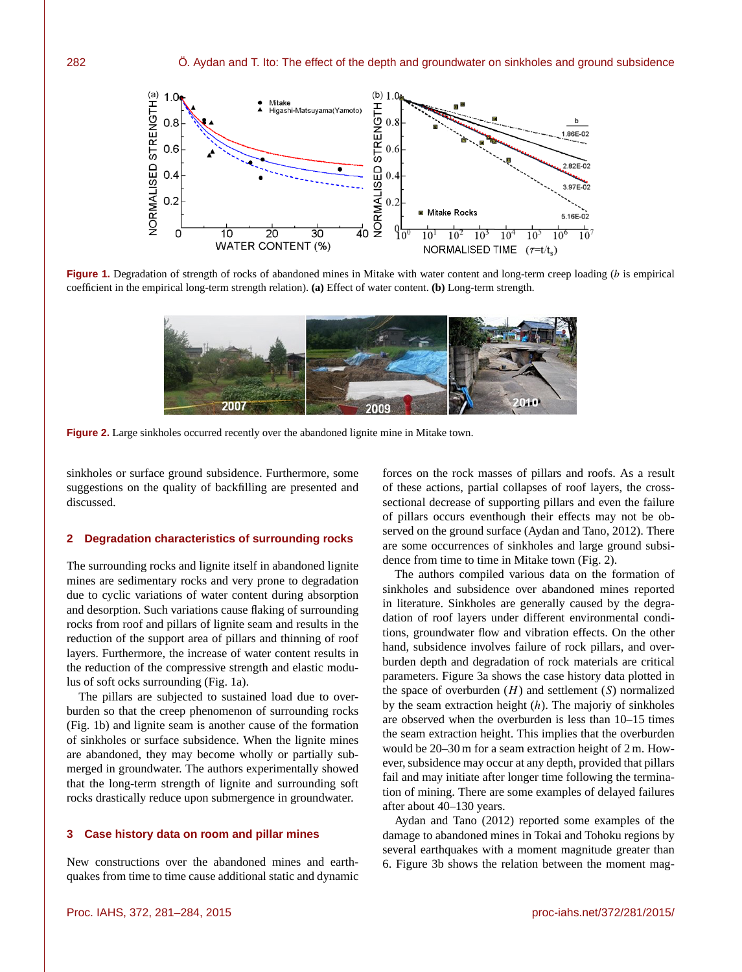

**Figure 1.** Degradation of strength of rocks of abandoned mines in Mitake with water content and long-term creep loading (b is empirical coefficient in the empirical long-term strength relation). **(a)** Effect of water content. **(b)** Long-term strength.



Figure 2. Large sinkholes occurred recently over the abandoned lignite mine in Mitake town.

sinkholes or surface ground subsidence. Furthermore, some suggestions on the quality of backfilling are presented and discussed.

## **2 Degradation characteristics of surrounding rocks**

The surrounding rocks and lignite itself in abandoned lignite mines are sedimentary rocks and very prone to degradation due to cyclic variations of water content during absorption and desorption. Such variations cause flaking of surrounding rocks from roof and pillars of lignite seam and results in the reduction of the support area of pillars and thinning of roof layers. Furthermore, the increase of water content results in the reduction of the compressive strength and elastic modulus of soft ocks surrounding (Fig. 1a).

The pillars are subjected to sustained load due to overburden so that the creep phenomenon of surrounding rocks (Fig. 1b) and lignite seam is another cause of the formation of sinkholes or surface subsidence. When the lignite mines are abandoned, they may become wholly or partially submerged in groundwater. The authors experimentally showed that the long-term strength of lignite and surrounding soft rocks drastically reduce upon submergence in groundwater.

#### **3 Case history data on room and pillar mines**

New constructions over the abandoned mines and earthquakes from time to time cause additional static and dynamic forces on the rock masses of pillars and roofs. As a result of these actions, partial collapses of roof layers, the crosssectional decrease of supporting pillars and even the failure of pillars occurs eventhough their effects may not be observed on the ground surface (Aydan and Tano, 2012). There are some occurrences of sinkholes and large ground subsidence from time to time in Mitake town (Fig. 2).

The authors compiled various data on the formation of sinkholes and subsidence over abandoned mines reported in literature. Sinkholes are generally caused by the degradation of roof layers under different environmental conditions, groundwater flow and vibration effects. On the other hand, subsidence involves failure of rock pillars, and overburden depth and degradation of rock materials are critical parameters. Figure 3a shows the case history data plotted in the space of overburden  $(H)$  and settlement  $(S)$  normalized by the seam extraction height  $(h)$ . The majoriy of sinkholes are observed when the overburden is less than 10–15 times the seam extraction height. This implies that the overburden would be 20–30 m for a seam extraction height of 2 m. However, subsidence may occur at any depth, provided that pillars fail and may initiate after longer time following the termination of mining. There are some examples of delayed failures after about 40–130 years.

Aydan and Tano (2012) reported some examples of the damage to abandoned mines in Tokai and Tohoku regions by several earthquakes with a moment magnitude greater than 6. Figure 3b shows the relation between the moment mag-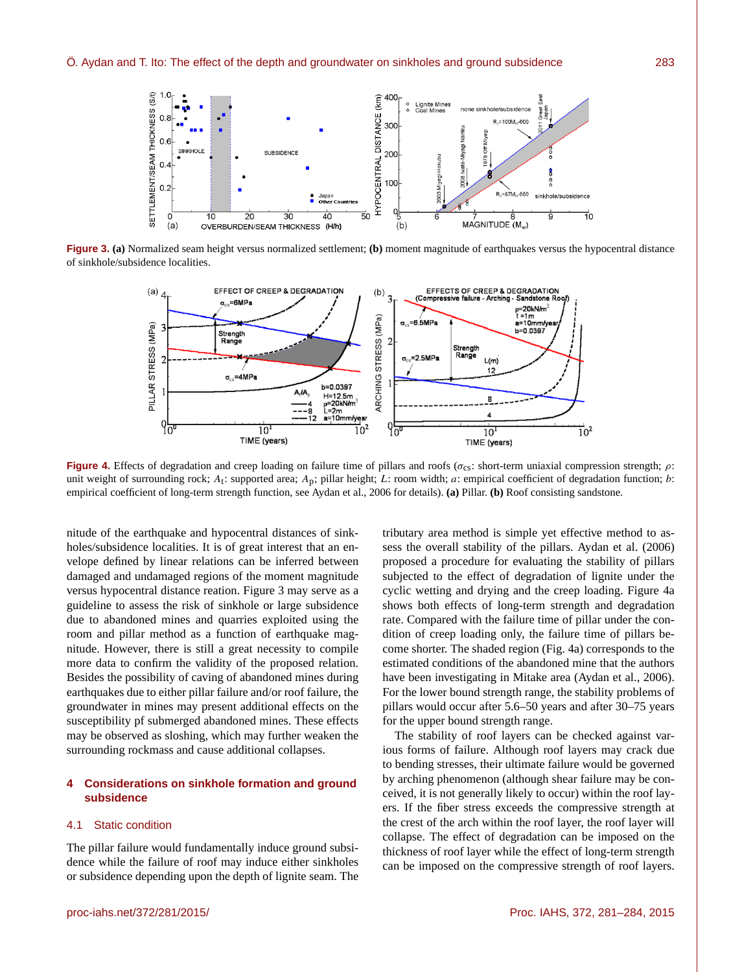

**Figure 3. (a)** Normalized seam height versus normalized settlement; **(b)** moment magnitude of earthquakes versus the hypocentral distance of sinkhole/subsidence localities.



**Figure 4.** Effects of degradation and creep loading on failure time of pillars and roofs ( $\sigma_{cs}$ : short-term uniaxial compression strength;  $\rho$ : unit weight of surrounding rock;  $A_t$ : supported area;  $A_p$ ; pillar height; L: room width; a: empirical coefficient of degradation function; b: empirical coefficient of long-term strength function, see Aydan et al., 2006 for details). **(a)** Pillar. **(b)** Roof consisting sandstone.

nitude of the earthquake and hypocentral distances of sinkholes/subsidence localities. It is of great interest that an envelope defined by linear relations can be inferred between damaged and undamaged regions of the moment magnitude versus hypocentral distance reation. Figure 3 may serve as a guideline to assess the risk of sinkhole or large subsidence due to abandoned mines and quarries exploited using the room and pillar method as a function of earthquake magnitude. However, there is still a great necessity to compile more data to confirm the validity of the proposed relation. Besides the possibility of caving of abandoned mines during earthquakes due to either pillar failure and/or roof failure, the groundwater in mines may present additional effects on the susceptibility pf submerged abandoned mines. These effects may be observed as sloshing, which may further weaken the surrounding rockmass and cause additional collapses.

## **4 Considerations on sinkhole formation and ground subsidence**

### 4.1 Static condition

The pillar failure would fundamentally induce ground subsidence while the failure of roof may induce either sinkholes or subsidence depending upon the depth of lignite seam. The

tributary area method is simple yet effective method to assess the overall stability of the pillars. Aydan et al. (2006) proposed a procedure for evaluating the stability of pillars subjected to the effect of degradation of lignite under the cyclic wetting and drying and the creep loading. Figure 4a shows both effects of long-term strength and degradation rate. Compared with the failure time of pillar under the condition of creep loading only, the failure time of pillars become shorter. The shaded region (Fig. 4a) corresponds to the estimated conditions of the abandoned mine that the authors have been investigating in Mitake area (Aydan et al., 2006). For the lower bound strength range, the stability problems of pillars would occur after 5.6–50 years and after 30–75 years for the upper bound strength range.

The stability of roof layers can be checked against various forms of failure. Although roof layers may crack due to bending stresses, their ultimate failure would be governed by arching phenomenon (although shear failure may be conceived, it is not generally likely to occur) within the roof layers. If the fiber stress exceeds the compressive strength at the crest of the arch within the roof layer, the roof layer will collapse. The effect of degradation can be imposed on the thickness of roof layer while the effect of long-term strength can be imposed on the compressive strength of roof layers.